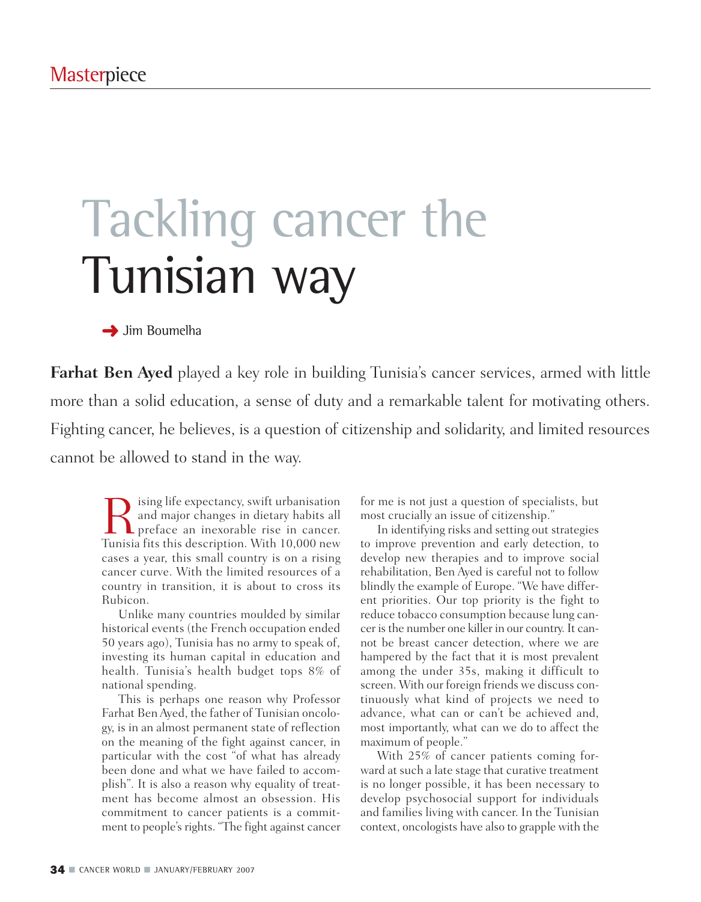# Tackling cancer the Tunisian way

**→** Jim Boumelha

**Farhat Ben Ayed** played a key role in building Tunisia's cancer services, armed with little more than a solid education, a sense of duty and a remarkable talent for motivating others. Fighting cancer, he believes, is a question of citizenship and solidarity, and limited resources cannot be allowed to stand in the way.

Resulting life expectancy, swift urbanisation<br>and major changes in dietary habits all<br>preface an inexorable rise in cancer.<br>Tunisia fits this description With 10,000 new and major changes in dietary habits all **L** preface an inexorable rise in cancer. Tunisia fits this description. With 10,000 new cases a year, this small country is on a rising cancer curve. With the limited resources of a country in transition, it is about to cross its Rubicon.

Unlike many countries moulded by similar historical events (the French occupation ended 50 years ago), Tunisia has no army to speak of, investing its human capital in education and health. Tunisia's health budget tops 8% of national spending.

This is perhaps one reason why Professor Farhat Ben Ayed, the father of Tunisian oncology, is in an almost permanent state of reflection on the meaning of the fight against cancer, in particular with the cost "of what has already been done and what we have failed to accomplish". It is also a reason why equality of treatment has become almost an obsession. His commitment to cancer patients is a commitment to people's rights. "The fight against cancer

for me is not just a question of specialists, but most crucially an issue of citizenship."

In identifying risks and setting out strategies to improve prevention and early detection, to develop new therapies and to improve social rehabilitation, Ben Ayed is careful not to follow blindly the example of Europe. "We have different priorities. Our top priority is the fight to reduce tobacco consumption because lung cancer is the number one killer in our country. It cannot be breast cancer detection, where we are hampered by the fact that it is most prevalent among the under 35s, making it difficult to screen. With our foreign friends we discuss continuously what kind of projects we need to advance, what can or can't be achieved and, most importantly, what can we do to affect the maximum of people."

With 25% of cancer patients coming forward at such a late stage that curative treatment is no longer possible, it has been necessary to develop psychosocial support for individuals and families living with cancer. In the Tunisian context, oncologists have also to grapple with the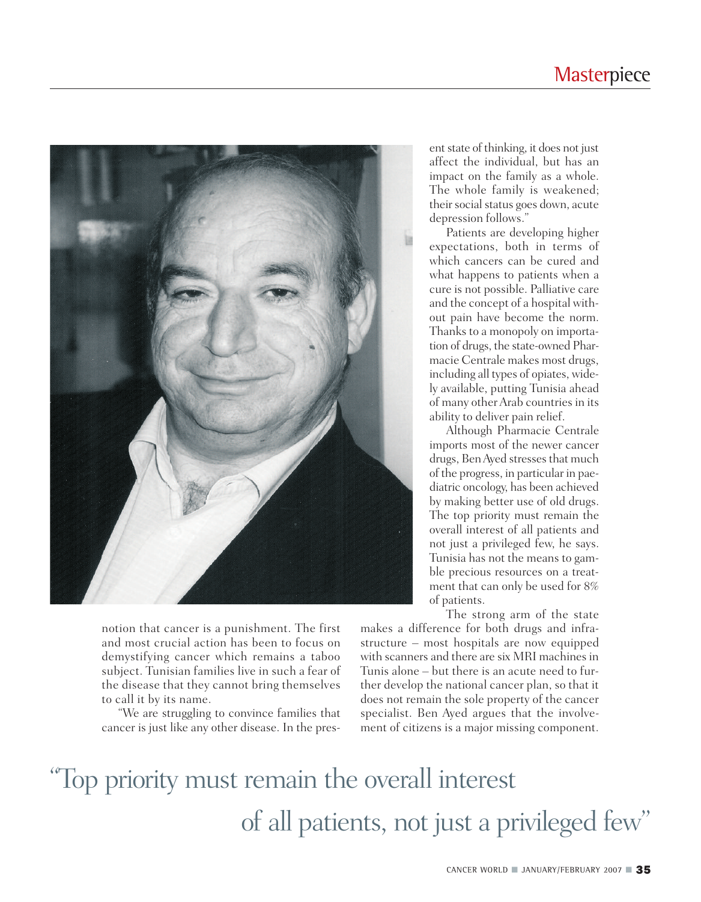#### **Masterpiece**



notion that cancer is a punishment. The first and most crucial action has been to focus on demystifying cancer which remains a taboo subject. Tunisian families live in such a fear of the disease that they cannot bring themselves to call it by its name.

"We are struggling to convince families that cancer is just like any other disease. In the present state of thinking, it does not just affect the individual, but has an impact on the family as a whole. The whole family is weakened; their social status goes down, acute depression follows."

Patients are developing higher expectations, both in terms of which cancers can be cured and what happens to patients when a cure is not possible. Palliative care and the concept of a hospital without pain have become the norm. Thanks to a monopoly on importation of drugs, the state-owned Pharmacie Centrale makes most drugs, including all types of opiates, widely available, putting Tunisia ahead of many other Arab countries in its ability to deliver pain relief.

Although Pharmacie Centrale imports most of the newer cancer drugs, Ben Ayed stresses that much of the progress, in particular in paediatric oncology, has been achieved by making better use of old drugs. The top priority must remain the overall interest of all patients and not just a privileged few, he says. Tunisia has not the means to gamble precious resources on a treatment that can only be used for 8% of patients.

The strong arm of the state makes a difference for both drugs and infrastructure – most hospitals are now equipped with scanners and there are six MRI machines in Tunis alone – but there is an acute need to further develop the national cancer plan, so that it does not remain the sole property of the cancer specialist. Ben Ayed argues that the involvement of citizens is a major missing component.

## "Top priority must remain the overall interest of all patients, not just a privileged few"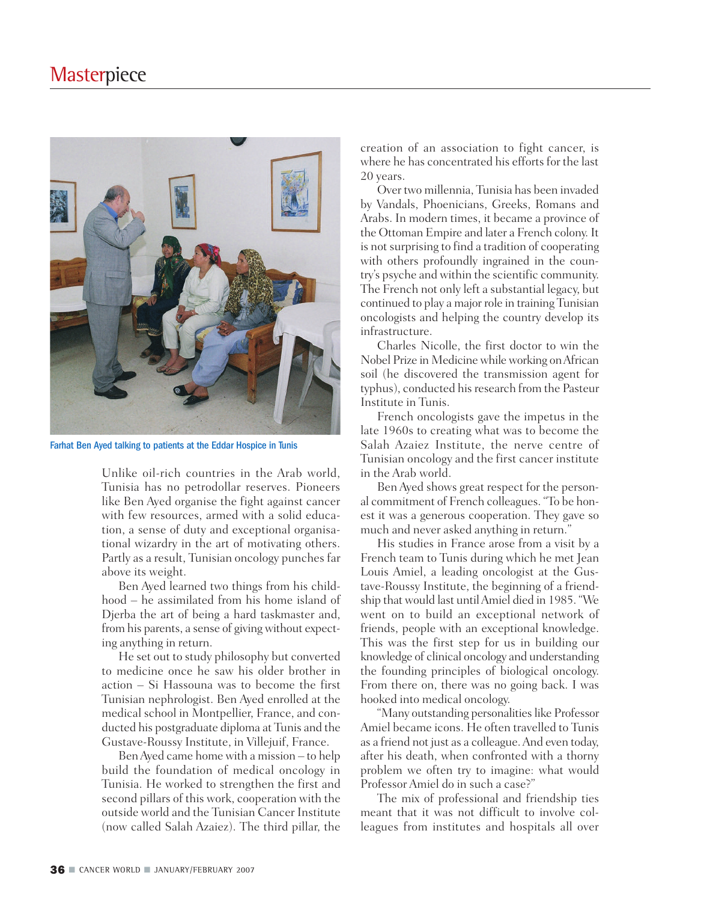

Farhat Ben Ayed talking to patients at the Eddar Hospice in Tunis

Unlike oil-rich countries in the Arab world, Tunisia has no petrodollar reserves. Pioneers like Ben Ayed organise the fight against cancer with few resources, armed with a solid education, a sense of duty and exceptional organisational wizardry in the art of motivating others. Partly as a result, Tunisian oncology punches far above its weight.

Ben Ayed learned two things from his childhood – he assimilated from his home island of Djerba the art of being a hard taskmaster and, from his parents, a sense of giving without expecting anything in return.

He set out to study philosophy but converted to medicine once he saw his older brother in action – Si Hassouna was to become the first Tunisian nephrologist. Ben Ayed enrolled at the medical school in Montpellier, France, and conducted his postgraduate diploma at Tunis and the Gustave-Roussy Institute, in Villejuif, France.

Ben Ayed came home with a mission – to help build the foundation of medical oncology in Tunisia. He worked to strengthen the first and second pillars of this work, cooperation with the outside world and the Tunisian Cancer Institute (now called Salah Azaiez). The third pillar, the creation of an association to fight cancer, is where he has concentrated his efforts for the last 20 years.

Over two millennia, Tunisia has been invaded by Vandals, Phoenicians, Greeks, Romans and Arabs. In modern times, it became a province of the Ottoman Empire and later a French colony. It is not surprising to find a tradition of cooperating with others profoundly ingrained in the country's psyche and within the scientific community. The French not only left a substantial legacy, but continued to play a major role in training Tunisian oncologists and helping the country develop its infrastructure.

Charles Nicolle, the first doctor to win the Nobel Prize in Medicine while working on African soil (he discovered the transmission agent for typhus), conducted his research from the Pasteur Institute in Tunis.

French oncologists gave the impetus in the late 1960s to creating what was to become the Salah Azaiez Institute, the nerve centre of Tunisian oncology and the first cancer institute in the Arab world.

Ben Ayed shows great respect for the personal commitment of French colleagues. "To be honest it was a generous cooperation. They gave so much and never asked anything in return."

His studies in France arose from a visit by a French team to Tunis during which he met Jean Louis Amiel, a leading oncologist at the Gustave-Roussy Institute, the beginning of a friendship that would last until Amiel died in 1985. "We went on to build an exceptional network of friends, people with an exceptional knowledge. This was the first step for us in building our knowledge of clinical oncology and understanding the founding principles of biological oncology. From there on, there was no going back. I was hooked into medical oncology.

"Many outstanding personalities like Professor Amiel became icons. He often travelled to Tunis as a friend not just as a colleague. And even today, after his death, when confronted with a thorny problem we often try to imagine: what would Professor Amiel do in such a case?"

The mix of professional and friendship ties meant that it was not difficult to involve colleagues from institutes and hospitals all over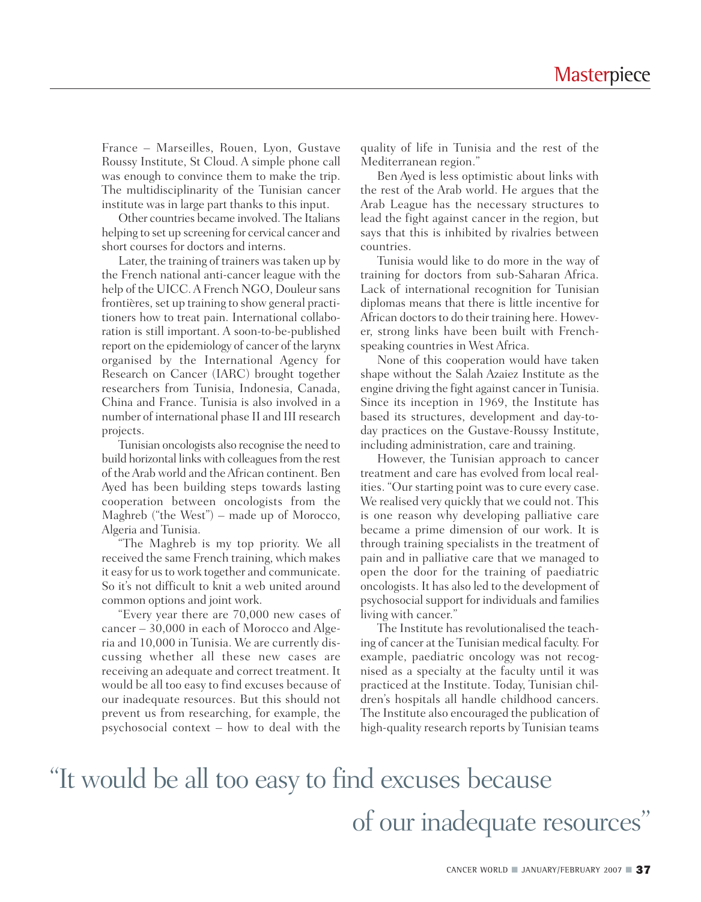France – Marseilles, Rouen, Lyon, Gustave Roussy Institute, St Cloud. A simple phone call was enough to convince them to make the trip. The multidisciplinarity of the Tunisian cancer institute was in large part thanks to this input.

Other countries became involved. The Italians helping to set up screening for cervical cancer and short courses for doctors and interns.

Later, the training of trainers was taken up by the French national anti-cancer league with the help of the UICC. A French NGO, Douleur sans frontières, set up training to show general practitioners how to treat pain. International collaboration is still important. A soon-to-be-published report on the epidemiology of cancer of the larynx organised by the International Agency for Research on Cancer (IARC) brought together researchers from Tunisia, Indonesia, Canada, China and France. Tunisia is also involved in a number of international phase II and III research projects.

Tunisian oncologists also recognise the need to build horizontal links with colleagues from the rest of the Arab world and the African continent. Ben Ayed has been building steps towards lasting cooperation between oncologists from the Maghreb ("the West") – made up of Morocco, Algeria and Tunisia.

"The Maghreb is my top priority. We all received the same French training, which makes it easy for us to work together and communicate. So it's not difficult to knit a web united around common options and joint work.

"Every year there are 70,000 new cases of cancer – 30,000 in each of Morocco and Algeria and 10,000 in Tunisia. We are currently discussing whether all these new cases are receiving an adequate and correct treatment. It would be all too easy to find excuses because of our inadequate resources. But this should not prevent us from researching, for example, the psychosocial context – how to deal with the quality of life in Tunisia and the rest of the Mediterranean region."

Ben Ayed is less optimistic about links with the rest of the Arab world. He argues that the Arab League has the necessary structures to lead the fight against cancer in the region, but says that this is inhibited by rivalries between countries.

Tunisia would like to do more in the way of training for doctors from sub-Saharan Africa. Lack of international recognition for Tunisian diplomas means that there is little incentive for African doctors to do their training here. However, strong links have been built with Frenchspeaking countries in West Africa.

None of this cooperation would have taken shape without the Salah Azaiez Institute as the engine driving the fight against cancer in Tunisia. Since its inception in 1969, the Institute has based its structures, development and day-today practices on the Gustave-Roussy Institute, including administration, care and training.

However, the Tunisian approach to cancer treatment and care has evolved from local realities. "Our starting point was to cure every case. We realised very quickly that we could not. This is one reason why developing palliative care became a prime dimension of our work. It is through training specialists in the treatment of pain and in palliative care that we managed to open the door for the training of paediatric oncologists. It has also led to the development of psychosocial support for individuals and families living with cancer."

The Institute has revolutionalised the teaching of cancer at the Tunisian medical faculty. For example, paediatric oncology was not recognised as a specialty at the faculty until it was practiced at the Institute. Today, Tunisian children's hospitals all handle childhood cancers. The Institute also encouraged the publication of high-quality research reports by Tunisian teams

## "It would be all too easy to find excuses because of our inadequate resources"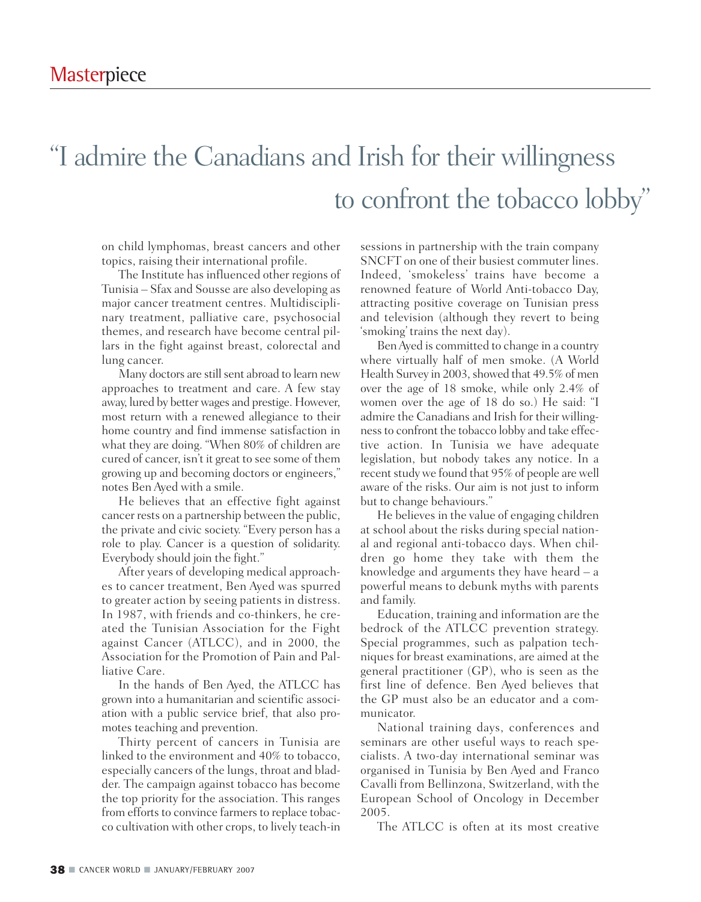## "I admire the Canadians and Irish for their willingness to confront the tobacco lobby"

on child lymphomas, breast cancers and other topics, raising their international profile.

The Institute has influenced other regions of Tunisia – Sfax and Sousse are also developing as major cancer treatment centres. Multidisciplinary treatment, palliative care, psychosocial themes, and research have become central pillars in the fight against breast, colorectal and lung cancer.

Many doctors are still sent abroad to learn new approaches to treatment and care. A few stay away, lured by better wages and prestige. However, most return with a renewed allegiance to their home country and find immense satisfaction in what they are doing. "When 80% of children are cured of cancer, isn't it great to see some of them growing up and becoming doctors or engineers," notes Ben Ayed with a smile.

He believes that an effective fight against cancer rests on a partnership between the public, the private and civic society. "Every person has a role to play. Cancer is a question of solidarity. Everybody should join the fight."

After years of developing medical approaches to cancer treatment, Ben Ayed was spurred to greater action by seeing patients in distress. In 1987, with friends and co-thinkers, he created the Tunisian Association for the Fight against Cancer (ATLCC), and in 2000, the Association for the Promotion of Pain and Palliative Care.

In the hands of Ben Ayed, the ATLCC has grown into a humanitarian and scientific association with a public service brief, that also promotes teaching and prevention.

Thirty percent of cancers in Tunisia are linked to the environment and 40% to tobacco, especially cancers of the lungs, throat and bladder. The campaign against tobacco has become the top priority for the association. This ranges from efforts to convince farmers to replace tobacco cultivation with other crops, to lively teach-in sessions in partnership with the train company SNCFT on one of their busiest commuter lines. Indeed, 'smokeless' trains have become a renowned feature of World Anti-tobacco Day, attracting positive coverage on Tunisian press and television (although they revert to being 'smoking' trains the next day).

Ben Ayed is committed to change in a country where virtually half of men smoke. (A World Health Survey in 2003, showed that 49.5% of men over the age of 18 smoke, while only 2.4% of women over the age of 18 do so.) He said: "I admire the Canadians and Irish for their willingness to confront the tobacco lobby and take effective action. In Tunisia we have adequate legislation, but nobody takes any notice. In a recent study we found that 95% of people are well aware of the risks. Our aim is not just to inform but to change behaviours."

He believes in the value of engaging children at school about the risks during special national and regional anti-tobacco days. When children go home they take with them the knowledge and arguments they have heard – a powerful means to debunk myths with parents and family.

Education, training and information are the bedrock of the ATLCC prevention strategy. Special programmes, such as palpation techniques for breast examinations, are aimed at the general practitioner (GP), who is seen as the first line of defence. Ben Ayed believes that the GP must also be an educator and a communicator.

National training days, conferences and seminars are other useful ways to reach specialists. A two-day international seminar was organised in Tunisia by Ben Ayed and Franco Cavalli from Bellinzona, Switzerland, with the European School of Oncology in December 2005.

The ATLCC is often at its most creative